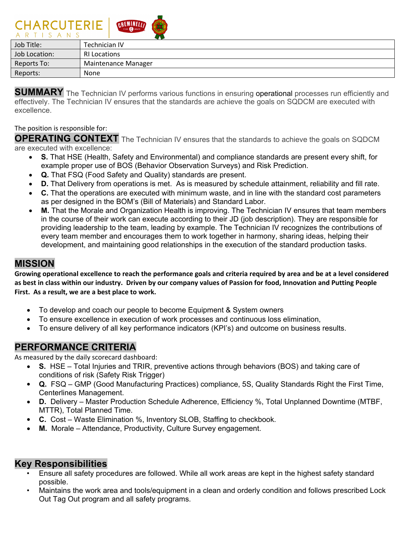| <b>CHARCOILNIL</b><br><b>CALLES OF HEATS</b><br>ARTISANS |
|----------------------------------------------------------|
| Technician IV                                            |
| <b>RI Locations</b>                                      |
| <b>Maintenance Manager</b>                               |
| None                                                     |
|                                                          |

**SUMMARY** The Technician IV performs various functions in ensuring operational processes run efficiently and effectively. The Technician IV ensures that the standards are achieve the goals on SQDCM are executed with excellence.

#### The position is responsible for:

CUADCIITEDIE GRUND A

**OPERATING CONTEXT** The Technician IV ensures that the standards to achieve the goals on SQDCM are executed with excellence:

- **S.** That HSE (Health, Safety and Environmental) and compliance standards are present every shift, for example proper use of BOS (Behavior Observation Surveys) and Risk Prediction.
- **Q.** That FSQ (Food Safety and Quality) standards are present.
- **D.** That Delivery from operations is met. As is measured by schedule attainment, reliability and fill rate.
- **C.** That the operations are executed with minimum waste, and in line with the standard cost parameters as per designed in the BOM's (Bill of Materials) and Standard Labor.
- **M.** That the Morale and Organization Health is improving. The Technician IV ensures that team members in the course of their work can execute according to their JD (job description). They are responsible for providing leadership to the team, leading by example. The Technician IV recognizes the contributions of every team member and encourages them to work together in harmony, sharing ideas, helping their development, and maintaining good relationships in the execution of the standard production tasks.

### **MISSION**

**Growing operational excellence to reach the performance goals and criteria required by area and be at a level considered as best in class within our industry. Driven by our company values of Passion for food, Innovation and Putting People First. As a result, we are a best place to work.**

- To develop and coach our people to become Equipment & System owners
- To ensure excellence in execution of work processes and continuous loss elimination,
- To ensure delivery of all key performance indicators (KPI's) and outcome on business results.

### **PERFORMANCE CRITERIA**

As measured by the daily scorecard dashboard:

- **S.** HSE Total Injuries and TRIR, preventive actions through behaviors (BOS) and taking care of conditions of risk (Safety Risk Trigger)
- **Q.** FSQ GMP (Good Manufacturing Practices) compliance, 5S, Quality Standards Right the First Time, Centerlines Management.
- **D.** Delivery Master Production Schedule Adherence, Efficiency %, Total Unplanned Downtime (MTBF, MTTR), Total Planned Time.
- **C.** Cost Waste Elimination %, Inventory SLOB, Staffing to checkbook.
- **M.** Morale Attendance, Productivity, Culture Survey engagement.

### **Key Responsibilities**

- Ensure all safety procedures are followed. While all work areas are kept in the highest safety standard possible.
- Maintains the work area and tools/equipment in a clean and orderly condition and follows prescribed Lock Out Tag Out program and all safety programs.